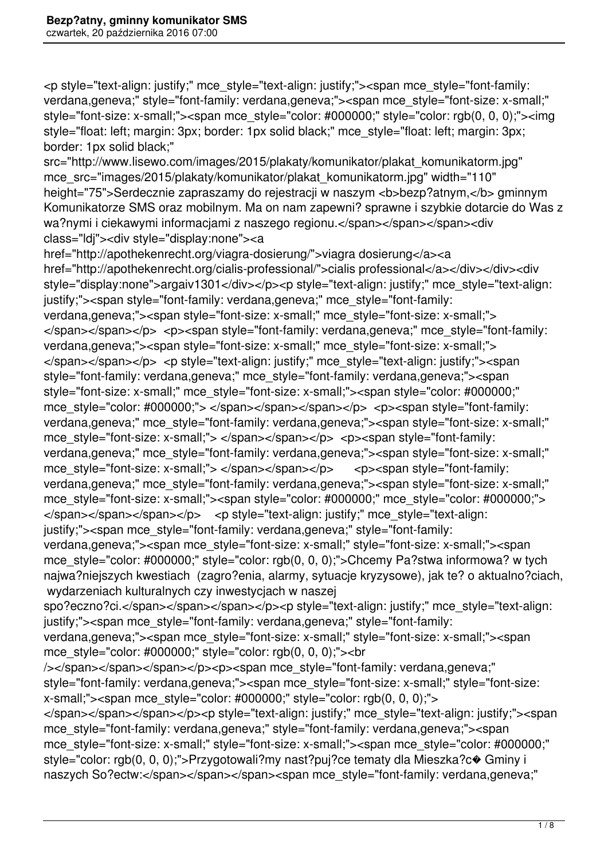<p style="text-align: justify;" mce\_style="text-align: justify;"><span mce\_style="font-family: verdana,geneva;" style="font-family: verdana,geneva;"><span mce\_style="font-size: x-small;" style="font-size: x-small;"><span mce\_style="color: #000000;" style="color: rgb(0, 0, 0);"><img style="float: left; margin: 3px; border: 1px solid black;" mce\_style="float: left; margin: 3px; border: 1px solid black;"

src="http://www.lisewo.com/images/2015/plakaty/komunikator/plakat\_komunikatorm.jpg" mce src="images/2015/plakaty/komunikator/plakat\_komunikatorm.jpg" width="110" height="75">Serdecznie zapraszamy do rejestracji w naszym <b>bezp?atnym, </b> gminnym Komunikatorze SMS oraz mobilnym. Ma on nam zapewni? sprawne i szybkie dotarcie do Was z wa?nymi i ciekawymi informaciami z naszego regionu.</span></span></span><div class="ldj"><div style="display:none"><a

href="http://apothekenrecht.org/viagra-dosierung/">viagra dosierung</a><a href="http://apothekenrecht.org/cialis-professional/">cialis professional</a></div></div><div style="display:none">argaiv1301</div></p><p style="text-align: justify;" mce style="text-align: justify;"><span style="font-family: verdana,geneva;" mce\_style="font-family: verdana,geneva;"><span style="font-size: x-small;" mce\_style="font-size: x-small;"> </span></span></p> <p><span style="font-family: verdana,geneva;" mce style="font-family: verdana,geneva;"><span style="font-size: x-small;" mce\_style="font-size: x-small;"> </span></span></p> <p style="text-align: justify;" mce\_style="text-align: justify;"><span style="font-family: verdana,geneva;" mce\_style="font-family: verdana,geneva;"><span style="font-size: x-small;" mce\_style="font-size: x-small;"><span style="color: #000000;" mce style="color: #000000;"> </span></span></span></p> <p><span style="font-family: verdana,geneva;" mce\_style="font-family: verdana,geneva;"><span style="font-size: x-small;" mce style="font-size: x-small;"> </span></span></p> <p><span style="font-family: verdana,geneva;" mce\_style="font-family: verdana,geneva;"><span style="font-size: x-small;" mce style="font-size: x-small;"> </span></span></p> <p><span style="font-family: verdana,geneva;" mce\_style="font-family: verdana,geneva;"><span style="font-size: x-small;" mce\_style="font-size: x-small;"><span style="color: #000000;" mce\_style="color: #000000;"> </span></span></span></p> <p style="text-align: justify;" mce style="text-align: justify;"><span mce\_style="font-family: verdana,geneva;" style="font-family: verdana,geneva;"><span mce\_style="font-size: x-small;" style="font-size: x-small;"><span mce style="color: #000000;" style="color: rgb(0, 0, 0);">Chcemy Pa?stwa informowa? w tych najwa?niejszych kwestiach (zagro?enia, alarmy, sytuacje kryzysowe), jak te? o aktualno?ciach, wydarzeniach kulturalnych czy inwestycjach w naszej spo?eczno?ci.</span></span></span></p>><p style="text-align: justify;" mce\_style="text-align: justify;"><span mce\_style="font-family: verdana,geneva;" style="font-family: verdana,geneva;"><span mce\_style="font-size: x-small;" style="font-size: x-small;"><span mce style="color: #000000;" style="color: rgb(0, 0, 0);"><br /></span></span></span></p>><p><span mce\_style="font-family: verdana,geneva;" style="font-family: verdana,geneva;"><span mce\_style="font-size: x-small;" style="font-size: x-small;"><span mce\_style="color: #000000;" style="color: rgb(0, 0, 0);"> </span></span></span></p><p style="text-align: justify;" mce\_style="text-align: justify;"><span mce\_style="font-family: verdana,geneva;" style="font-family: verdana,geneva;"><span mce\_style="font-size: x-small;" style="font-size: x-small;"><span mce\_style="color: #000000;" style="color: rgb(0, 0, 0);">Przygotowali?my nast?puj?ce tematy dla Mieszka?c $\bullet$  Gminy i naszych So?ectw:</span></span></span><span mce\_style="font-family: verdana,geneva;"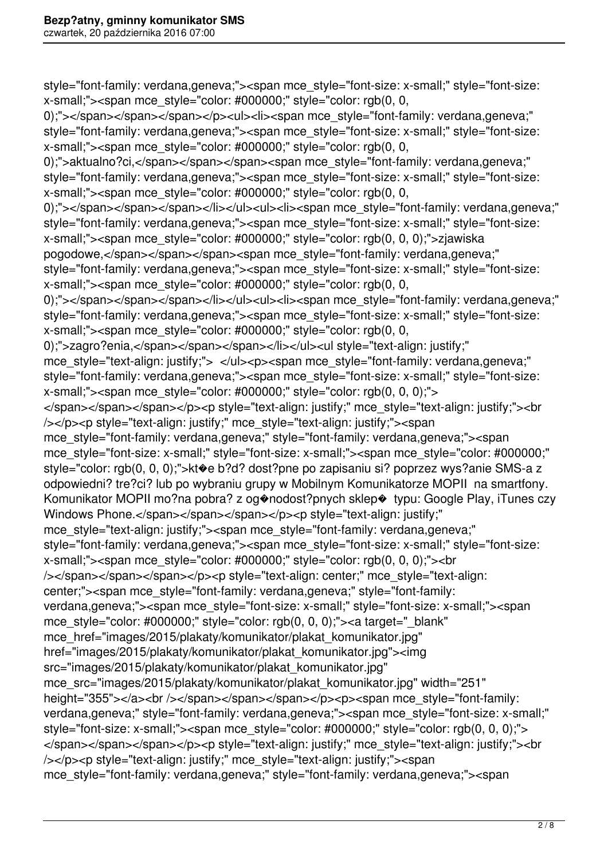style="font-family: verdana,geneva;"><span mce\_style="font-size: x-small;" style="font-size: x-small;"><span mce\_style="color: #000000;" style="color: rgb(0, 0, 0);"></span></span></span></p>>>>>>>ul><li><span mce\_style="font-family: verdana,geneva;" style="font-family: verdana,geneva;"><span mce\_style="font-size: x-small;" style="font-size: x-small;"><span mce\_style="color: #000000;" style="color: rgb(0, 0, 0);">aktualno?ci,</span></span></span><span mce\_style="font-family: verdana,geneva;" style="font-family: verdana,geneva;"><span mce\_style="font-size: x-small;" style="font-size: x-small;"> < span mce style="color: #000000;" style="color: rgb(0, 0, 0);"></span></span></span></li></ul><ul><li><span mce\_style="font-family: verdana,geneva;" style="font-family: verdana,geneva;"><span mce\_style="font-size: x-small;" style="font-size: x-small;"><span mce\_style="color: #000000;" style="color: rgb(0, 0, 0);">zjawiska pogodowe,</span></span></span><span mce\_style="font-family: verdana,geneva;" style="font-family: verdana,geneva;"><span mce\_style="font-size: x-small;" style="font-size: x-small;"> < span mce\_style="color: #000000;" style="color: rgb(0, 0, 0);"></span></span></span></li></ul><ul><li><span mce\_style="font-family: verdana,geneva;" style="font-family: verdana,geneva;"><span mce\_style="font-size: x-small;" style="font-size: x-small;"><span mce\_style="color: #000000;" style="color: rgb(0, 0, 0);">zagro?enia,</span></span></span></li></ul><ul style="text-align: justify;" mce\_style="text-align: justify;"> </ul><p><span mce\_style="font-family: verdana,geneva;" style="font-family: verdana,geneva;"><span mce\_style="font-size: x-small;" style="font-size: x-small;" $\ge$ span mce style="color: #000000;" style="color: rgb(0, 0, 0);" $\ge$ </span></span></span></p>>>>>>p style="text-align: justify;" mce\_style="text-align: justify;"><br /></p><p style="text-align: justify;" mce\_style="text-align: justify;"><span mce\_style="font-family: verdana,geneva;" style="font-family: verdana,geneva;"><span mce\_style="font-size: x-small;" style="font-size: x-small;"><span mce\_style="color: #000000;" style="color: rgb(0, 0, 0);">kt�e b?d? dost?pne po zapisaniu si? poprzez wys?anie SMS-a z odpowiedni? tre?ci? lub po wybraniu grupy w Mobilnym Komunikatorze MOPII na smartfony. Komunikator MOPII mo?na pobra? z og�nodost?pnych sklep� typu: Google Play, iTunes czy Windows Phone.</span></span></span></p>><p style="text-align: justify;" mce\_style="text-align: justify;"><span mce\_style="font-family: verdana,geneva;" style="font-family: verdana,geneva;"><span mce\_style="font-size: x-small;" style="font-size: x-small;"> < span mce\_style="color: #000000;" style="color: rgb(0, 0, 0);"> < br /></span></span></span></p>><p style="text-align: center;" mce\_style="text-align: center;"><span mce\_style="font-family: verdana,geneva;" style="font-family: verdana,geneva;"><span mce\_style="font-size: x-small;" style="font-size: x-small;"><span mce\_style="color: #000000;" style="color: rgb(0, 0, 0);"><a target="\_blank" mce href="images/2015/plakaty/komunikator/plakat\_komunikator.jpg" href="images/2015/plakaty/komunikator/plakat\_komunikator.jpg"><img src="images/2015/plakaty/komunikator/plakat\_komunikator.jpg" mce src="images/2015/plakaty/komunikator/plakat komunikator.jpg" width="251" height="355"></a><br />>/span></span></span></p>><p><span mce\_style="font-family: verdana,geneva;" style="font-family: verdana,geneva;"><span mce\_style="font-size: x-small;" style="font-size: x-small;"><span mce\_style="color: #000000;" style="color: rgb(0, 0, 0);"> </span></span></span></p>>>>>>>>p style="text-align: justify;" mce\_style="text-align: justify;"><pr /></p><p style="text-align: justify;" mce\_style="text-align: justify;"><span mce\_style="font-family: verdana,geneva;" style="font-family: verdana,geneva;"><span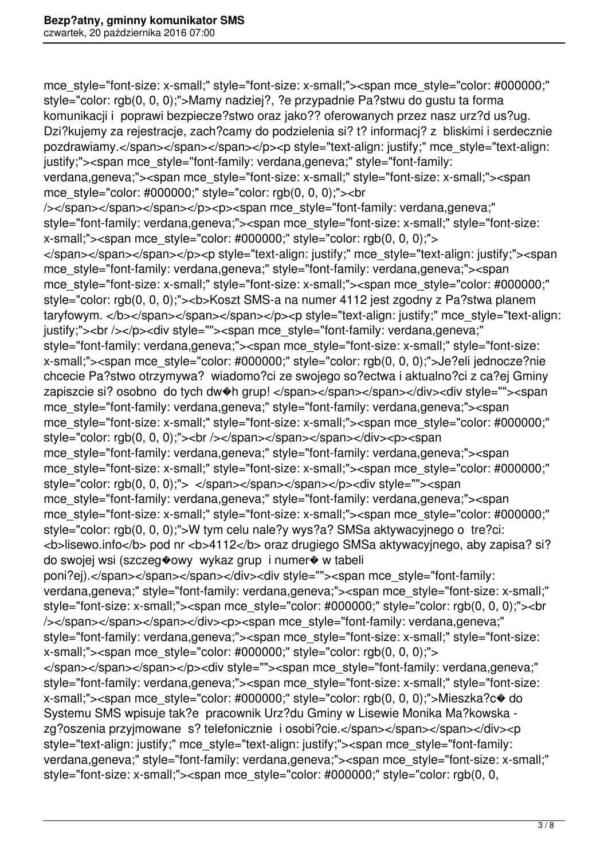mce\_style="font-size: x-small;" style="font-size: x-small;"><span mce\_style="color: #000000;" style="color: rgb(0, 0, 0);">Mamy nadziej?, ?e przypadnie Pa?stwu do gustu ta forma komunikacji i poprawi bezpiecze?stwo oraz jako?? oferowanych przez nasz urz?d us?ug. Dzi?kujemy za rejestracje, zach?camy do podzielenia si? t? informacj? z bliskimi i serdecznie pozdrawiamy.</span></span></span></p>><p style="text-align: justify;" mce style="text-align: justify;"><span mce\_style="font-family: verdana,geneva;" style="font-family: verdana,geneva;"><span mce\_style="font-size: x-small;" style="font-size: x-small;"><span mce style="color: #000000;" style="color: rgb(0, 0, 0);"><br /></span></span></span></p>><p><span mce\_style="font-family: verdana,geneva;" style="font-family: verdana,geneva;"><span mce\_style="font-size: x-small;" style="font-size: x-small;" $\ge$ span mce style="color: #000000;" style="color: rgb(0, 0, 0);" $\ge$ </span></span></span></p><p style="text-align: justify;" mce\_style="text-align: justify;"><span mce style="font-family: verdana,geneva;" style="font-family: verdana,geneva;"><span mce\_style="font-size: x-small;" style="font-size: x-small;"><span mce\_style="color: #000000;" style="color: rgb(0, 0, 0);"><b>Koszt SMS-a na numer 4112 jest zgodny z Pa?stwa planem taryfowym. </b></span></span></span></p>><p style="text-align: justify;" mce style="text-align: justify;"><br />></p><div style=""><span mce\_style="font-family: verdana,geneva;" style="font-family: verdana,geneva;"><span mce\_style="font-size: x-small;" style="font-size: x-small;"><span mce\_style="color: #000000;" style="color: rgb(0, 0, 0);">Je?eli jednocze?nie chcecie Pa?stwo otrzymywa? wiadomo?ci ze swojego so?ectwa i aktualno?ci z ca?ej Gminy zapiszcie si? osobno do tych dw�h grup! </span></span></span></div><div style=""><span mce\_style="font-family: verdana,geneva;" style="font-family: verdana,geneva;"><span mce\_style="font-size: x-small;" style="font-size: x-small;"><span mce\_style="color: #000000;" style="color: rgb(0, 0, 0);"><br />>>/>></span></span></span></div><p><span mce style="font-family: verdana,geneva;" style="font-family: verdana,geneva;"><span mce\_style="font-size: x-small;" style="font-size: x-small;"><span mce\_style="color: #000000;" style="color: rgb(0, 0, 0);"> </span></span></span></p><div style=""><span mce style="font-family: verdana,geneva;" style="font-family: verdana,geneva;"><span mce\_style="font-size: x-small;" style="font-size: x-small;"><span mce\_style="color: #000000;" style="color: rgb(0, 0, 0);">W tym celu nale?y wys?a? SMSa aktywacyjnego o tre?ci:  $\epsilon$ b>lisewo.info $\epsilon$ /b> pod nr  $\epsilon$ b>4112 $\epsilon$ /b> oraz drugiego SMSa aktywacyjnego, aby zapisa? si? do swojej wsi (szczeg�owy wykaz grup i numer� w tabeli poni?ej).</span></span></span></div><div style=""><span mce\_style="font-family: verdana,geneva;" style="font-family: verdana,geneva;"><span mce\_style="font-size: x-small;" style="font-size: x-small;"><span mce\_style="color: #000000;" style="color: rgb(0, 0, 0);"><br /></span></span></span></div><p><span mce\_style="font-family: verdana,geneva;" style="font-family: verdana,geneva;"><span mce\_style="font-size: x-small;" style="font-size: x-small;" $\ge$ <span mce style="color: #000000;" style="color: rgb(0, 0, 0);" $\ge$ </span></span></span></p>><div style=""><span mce\_style="font-family: verdana,geneva;" style="font-family: verdana,geneva;"><span mce\_style="font-size: x-small;" style="font-size: x-small;"><span mce\_style="color: #000000;" style="color: rgb(0, 0, 0);">Mieszka?c� do Systemu SMS wpisuje tak?e pracownik Urz?du Gminy w Lisewie Monika Ma?kowska zg?oszenia przyjmowane s? telefonicznie i osobi?cie.</span></span></span></div><p style="text-align: justify;" mce\_style="text-align: justify;"><span mce\_style="font-family: verdana,geneva;" style="font-family: verdana,geneva;"><span mce\_style="font-size: x-small;" style="font-size: x-small;"><span mce\_style="color: #000000;" style="color: rgb(0, 0,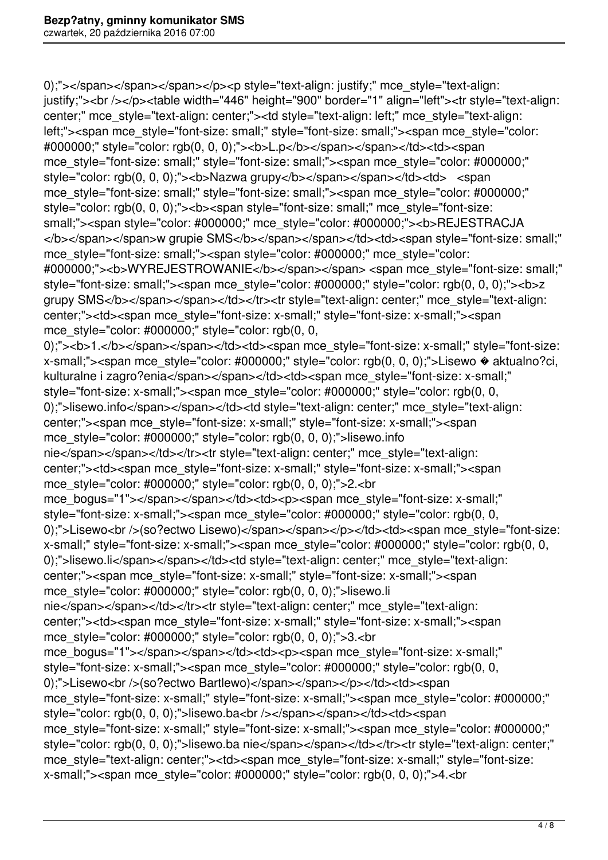0);"></span></span></span></pan></p>>>>p style="text-align: justify;" mce\_style="text-align: justify;"><br />>/p><table width="446" height="900" border="1" align="left"><tr style="text-align: center;" mce\_style="text-align: center;"><td style="text-align: left;" mce\_style="text-align: left;"><span mce\_style="font-size: small;" style="font-size: small;"><span mce\_style="color: #000000;" style="color: rgb(0, 0, 0);"><b>L.p</b></span></span></td><td><span mce\_style="font-size: small;" style="font-size: small;"><span mce\_style="color: #000000;" style="color: rgb(0, 0, 0);"><b>Nazwa grupy</b></span></span></td><td> <span mce style="font-size: small;" style="font-size: small;"><span mce style="color: #000000;" style="color: rgb(0, 0, 0);"><b><span style="font-size: small;" mce\_style="font-size: small;"><span style="color: #000000;" mce\_style="color: #000000;"><b>REJESTRACJA </b></span></span>w grupie SMS</b></span></span></td><td><span style="font-size: small;" mce\_style="font-size: small;"><span style="color: #000000;" mce\_style="color: #000000;"><b>WYREJESTROWANIE</b></span></span><span mce\_style="font-size: small;" style="font-size: small;"><span mce\_style="color: #000000;" style="color: rgb(0, 0, 0);"><b>z grupy SMS</b></span></span></td></tr>></tr style="text-align: center;" mce\_style="text-align: center;"><td><span mce\_style="font-size: x-small;" style="font-size: x-small;"><span mce\_style="color: #000000;" style="color: rgb(0, 0, 0);"><bb>1.</b></span></span></td><td><span mce\_style="font-size: x-small;" style="font-size: x-small;"><span mce\_style="color: #000000;" style="color: rgb(0, 0, 0);">Lisewo � aktualno?ci, kulturalne i zagro?enia</span></span></td><td><span mce\_style="font-size: x-small;" style="font-size: x-small;"><span mce\_style="color: #000000;" style="color: rgb(0, 0, 0);">lisewo.info</span></span></td><td style="text-align: center;" mce\_style="text-align: center;"><span mce\_style="font-size: x-small;" style="font-size: x-small;"><span mce style="color: #000000;" style="color: rgb(0, 0, 0);">lisewo.info nie</span></span></td></tr><tr style="text-align: center;" mce\_style="text-align: center;"><td><span mce\_style="font-size: x-small;" style="font-size: x-small;"><span mce style="color: #000000;" style="color: rgb(0, 0, 0);">2.<br mce\_bogus="1"></span></span></td><td><p>>>span mce\_style="font-size: x-small;" style="font-size: x-small;"><span mce\_style="color: #000000;" style="color: rgb(0, 0, 0);">Lisewo<br/>>ht>>(so?ectwo Lisewo)</span></span></p>></td><td><span mce\_style="font-size: x-small;" style="font-size: x-small;"><span mce\_style="color: #000000;" style="color: rgb(0, 0, 0);">lisewo.li</span></span></td><td style="text-align: center;" mce\_style="text-align: center;"><span mce\_style="font-size: x-small;" style="font-size: x-small;"><span mce style="color: #000000;" style="color: rgb(0, 0, 0);">lisewo.li nie</span></span></td></tr>></tr style="text-align: center;" mce\_style="text-align: center;"><td><span mce\_style="font-size: x-small;" style="font-size: x-small;"><span mce style="color: #000000;" style="color: rgb(0, 0, 0);">3.<br mce\_bogus="1"></span></span></td><td><p><span mce\_style="font-size: x-small;" style="font-size: x-small;"><span mce\_style="color: #000000;" style="color: rgb(0, 0, 0);">Lisewo<br />>/so?ectwo Bartlewo)</span></span></p>></td><td><span mce\_style="font-size: x-small;" style="font-size: x-small;"><span mce\_style="color: #000000;" style="color: rgb(0, 0, 0);">lisewo.ba<br /></span></span></td><td><span mce\_style="font-size: x-small;" style="font-size: x-small;"><span mce\_style="color: #000000;" style="color: rgb(0, 0, 0);">lisewo.ba nie</span></span></td></tr>><tr style="text-align: center;" mce style="text-align: center;"><td><span mce style="font-size: x-small;" style="font-size: x-small;"> < span mce\_style="color: #000000;" style="color: rgb(0, 0, 0);">4.< br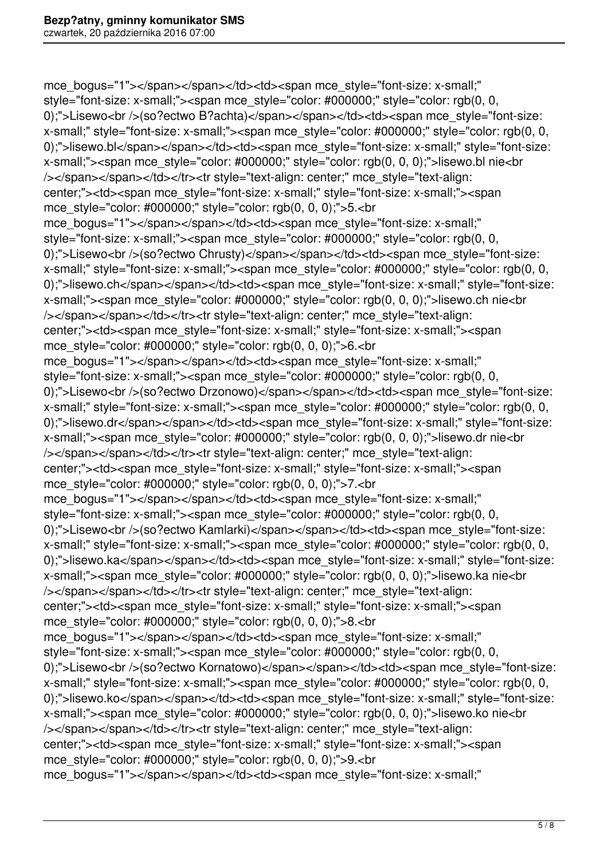mce\_bogus="1"></span></span></td><td><span mce\_style="font-size: x-small;" style="font-size: x-small;"><span mce\_style="color: #000000;" style="color: rgb(0, 0, 0);">Lisewo<br/>>http://ectwo.undividal>/span></span></td><td><span mce\_style="font-size: x-small;" style="font-size: x-small;"><span mce\_style="color: #000000;" style="color: rgb(0, 0, 0);">lisewo.bl</span></span></td><td><span mce\_style="font-size: x-small;" style="font-size: x-small;"> < span mce\_style="color: #000000;" style="color: rgb(0, 0, 0);">lisewo.bl nie < br /></span></span></td></tr>><tr style="text-align: center;" mce\_style="text-align: center;"><td><span mce\_style="font-size: x-small;" style="font-size: x-small;"><span mce\_style="color: #000000;" style="color: rgb(0, 0, 0);">5.<br mce\_bogus="1"></span></span></td><td><span mce\_style="font-size: x-small;" style="font-size: x-small;"><span mce\_style="color: #000000;" style="color: rgb(0, 0, 0);">Lisewo<br />> /so?ectwo Chrusty)</span></span></td><td><span mce\_style="font-size: x-small;" style="font-size: x-small;"><span mce\_style="color: #000000;" style="color: rgb(0, 0, 0);">lisewo.ch</span></span></td><td><span mce\_style="font-size: x-small;" style="font-size: x-small;"> < span mce\_style="color: #000000;" style="color: rgb(0, 0, 0);">lisewo.ch nie < br /></span></span></td></tr>><tr style="text-align: center;" mce\_style="text-align: center;"><td><span mce\_style="font-size: x-small;" style="font-size: x-small;"><span mce\_style="color: #000000;" style="color: rgb(0, 0, 0);">6.<br mce\_bogus="1"></span></span></td><td><span mce\_style="font-size: x-small;" style="font-size: x-small;"><span mce\_style="color: #000000;" style="color: rgb(0, 0, 0);">Lisewo<br/>kt>/>(so?ectwo Drzonowo)</span></span></td><td><span mce\_style="font-size: x-small;" style="font-size: x-small;"><span mce\_style="color: #000000;" style="color: rgb(0, 0, 0);">lisewo.dr</span></span></td><td><span mce\_style="font-size: x-small;" style="font-size: x-small;"> < span mce\_style="color: #000000;" style="color: rgb(0, 0, 0);">lisewo.dr nie < br /></span></span></td></tr>><tr style="text-align: center;" mce\_style="text-align: center;"><td><span mce\_style="font-size: x-small;" style="font-size: x-small;"><span mce style="color: #000000;" style="color: rgb(0, 0, 0);">7.<br mce\_bogus="1"></span></span></td><td><span mce\_style="font-size: x-small;" style="font-size: x-small;"><span mce\_style="color: #000000;" style="color: rgb(0, 0, 0);">Lisewo<br />>/so?ectwo Kamlarki)</span></span></td><td><span mce\_style="font-size: x-small;" style="font-size: x-small;"><span mce\_style="color: #000000;" style="color: rgb(0, 0, 0);">lisewo.ka</span></span></td><td><span mce style="font-size: x-small;" style="font-size: x-small;"><span mce\_style="color: #000000;" style="color: rgb(0, 0, 0);">lisewo.ka nie<br /></span></span></td></tr>><tr style="text-align: center;" mce\_style="text-align: center;"><td><span mce\_style="font-size: x-small;" style="font-size: x-small;"><span mce\_style="color: #000000;" style="color: rgb(0, 0, 0);">8.<br mce\_bogus="1"></span></span></td><td><span mce\_style="font-size: x-small;" style="font-size: x-small;"><span mce\_style="color: #000000;" style="color: rgb(0, 0, 0);">Lisewo<br />> /so?ectwo Kornatowo)</span></span></td><td><span mce\_style="font-size: x-small;" style="font-size: x-small;"><span mce\_style="color: #000000;" style="color: rgb(0, 0, 0);">lisewo.ko</span></span></td><td><span mce\_style="font-size: x-small;" style="font-size: x-small;"><span mce\_style="color: #000000;" style="color: rgb(0, 0, 0);">lisewo.ko nie<br /></span></span></td></tr>><tr style="text-align: center;" mce\_style="text-align: center;"><td><span mce\_style="font-size: x-small;" style="font-size: x-small;"><span mce style="color: #000000;" style="color: rgb(0, 0, 0);">9.<br mce\_bogus="1"></span></span></td><td><span mce\_style="font-size: x-small;"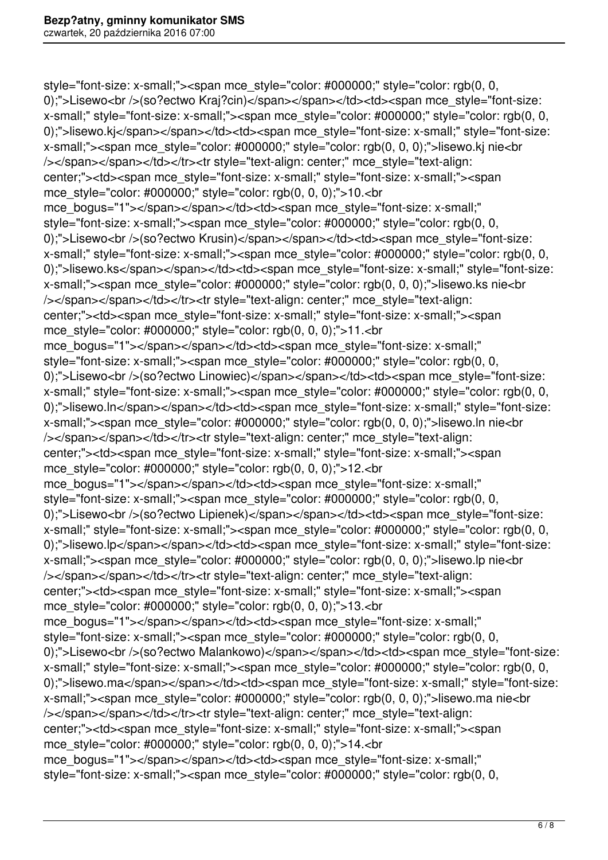style="font-size: x-small;"><span mce\_style="color: #000000;" style="color: rgb(0, 0, 0);">Lisewo<br/></so?ectwo Kraj?cin)</span></span></td><td><span mce\_style="font-size: x-small;" style="font-size: x-small;"><span mce\_style="color: #000000;" style="color: rgb(0, 0, 0);">lisewo.ki</span></span></td><td><span mce\_style="font-size: x-small;" style="font-size: x-small;"> < span mce style="color: #000000;" style="color: rgb(0, 0, 0);">lisewo.kj nie < br /></span></span></td></tr>><tr style="text-align: center;" mce\_style="text-align: center;"><td><span mce\_style="font-size: x-small;" style="font-size: x-small;"><span mce style="color: #000000;" style="color: rgb(0, 0, 0);">10.<br mce\_bogus="1"></span></span></td><td><span mce\_style="font-size: x-small;" style="font-size: x-small;"><span mce\_style="color: #000000;" style="color: rgb(0, 0, 0);">Lisewo<br />>/so?ectwo Krusin)</span></span></td><td><span mce\_style="font-size: x-small;" style="font-size: x-small;"><span mce\_style="color: #000000;" style="color: rgb(0, 0, 0);">lisewo.ks</span></span></td><td><span mce\_style="font-size: x-small;" style="font-size: x-small;"> < span mce\_style="color: #000000;" style="color: rgb(0, 0, 0);">lisewo.ks nie < br /></span></span></td></tr>><tr style="text-align: center;" mce\_style="text-align: center;"><td><span mce\_style="font-size: x-small;" style="font-size: x-small;"><span mce\_style="color: #000000;" style="color: rgb(0, 0, 0);">11.<br mce\_bogus="1"></span></span></td><td><span mce\_style="font-size: x-small;" style="font-size: x-small;"><span mce\_style="color: #000000;" style="color: rgb(0, 0, 0);">Lisewo<br />>/so?ectwo Linowiec)</span></span></td><td><span mce\_style="font-size: x-small;" style="font-size: x-small;"><span mce\_style="color: #000000;" style="color: rgb(0, 0, 0);">lisewo.ln</span></span></td><td><span mce\_style="font-size: x-small;" style="font-size: x-small;"><span mce\_style="color: #000000;" style="color: rgb(0, 0, 0);">lisewo.ln nie<br /></span></span></td></tr>><tr style="text-align: center;" mce\_style="text-align: center;"><td><span mce\_style="font-size: x-small;" style="font-size: x-small;"><span mce\_style="color: #000000;" style="color: rgb(0, 0, 0);">12.<br mce\_bogus="1"></span></span></td><td><span mce\_style="font-size: x-small;" style="font-size: x-small;"><span mce\_style="color: #000000;" style="color: rgb(0, 0, 0);">Lisewo<br />>/so?ectwo Lipienek)</span></span></td><td><span mce style="font-size: x-small;" style="font-size: x-small;"><span mce\_style="color: #000000;" style="color: rgb(0, 0, 0);">lisewo.lp</span></span></td><td><span mce\_style="font-size: x-small;" style="font-size: x-small;"> < span mce\_style="color: #000000;" style="color: rgb(0, 0, 0);">lisewo.lp nie < br /></span></span></td></tr>><tr style="text-align: center;" mce\_style="text-align: center;"><td><span mce\_style="font-size: x-small;" style="font-size: x-small;"><span mce style="color: #000000;" style="color: rgb(0, 0, 0);">13.<br mce\_bogus="1"></span></span></td><td><span mce\_style="font-size: x-small;" style="font-size: x-small;"><span mce\_style="color: #000000;" style="color: rgb(0, 0, 0);">Lisewo<br />>/so?ectwo Malankowo)</span></span></td><td><span mce\_style="font-size: x-small;" style="font-size: x-small;"><span mce\_style="color: #000000;" style="color: rgb(0, 0, 0);">lisewo.ma</span></span></td><td><span mce\_style="font-size: x-small;" style="font-size: x-small;"> < span mce\_style="color: #000000;" style="color: rgb(0, 0, 0);">lisewo.ma nie < br /></span></span></td></tr>><tr style="text-align: center;" mce\_style="text-align: center;"><td><span mce\_style="font-size: x-small;" style="font-size: x-small;"><span mce\_style="color: #000000;" style="color: rgb(0, 0, 0);">14.<br/>>br mce\_bogus="1"></span></span></td><td><span mce\_style="font-size: x-small:" style="font-size: x-small;"><span mce\_style="color: #000000;" style="color: rgb(0, 0,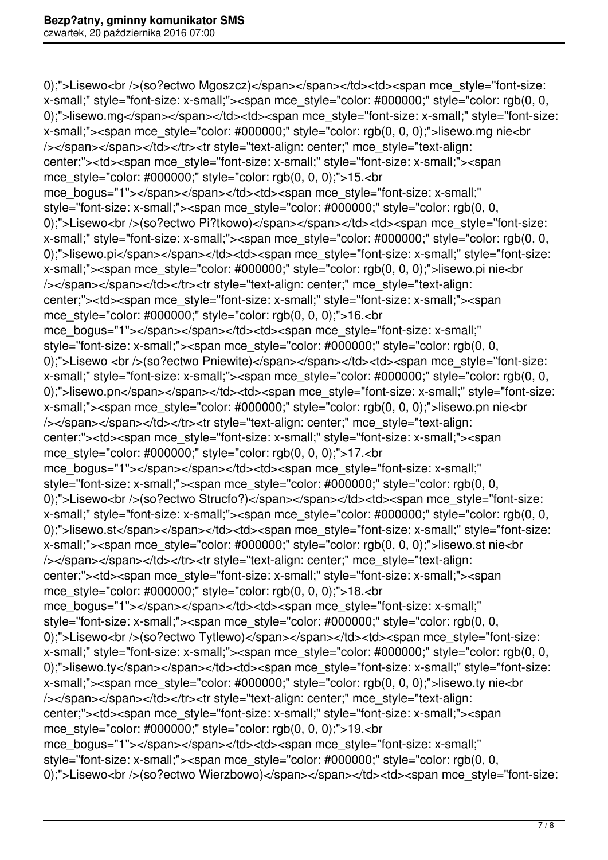0);">Lisewo<br />>/so?ectwo Mgoszcz)</span></span></td><td><span mce\_style="font-size: x-small;" style="font-size: x-small;"><span mce\_style="color: #000000;" style="color: rgb(0, 0, 0);">lisewo.mg</span></span></td><td><span mce\_style="font-size: x-small;" style="font-size: x-small;"> < span mce\_style="color: #000000;" style="color: rgb(0, 0, 0);">lisewo.mg nie < br /></span></span></td></tr>><tr style="text-align: center;" mce\_style="text-align: center;"><td><span mce\_style="font-size: x-small;" style="font-size: x-small;"><span mce style="color: #000000;" style="color: rgb(0, 0, 0);">15.<br mce\_bogus="1"></span></span></td><td><span mce\_style="font-size: x-small;" style="font-size: x-small;"><span mce\_style="color: #000000;" style="color: rgb(0, 0, 0);">Lisewo<br/>>https?ectwo.com/>Pi?tkowo)</span></span></td><<span mce\_style="font-size: x-small;" style="font-size: x-small;"><span mce\_style="color: #000000;" style="color: rgb(0, 0, 0);">lisewo.pi</span></span></td><td><span mce\_style="font-size: x-small;" style="font-size: x-small;"> < span mce\_style="color: #000000;" style="color: rgb(0, 0, 0);">lisewo.pi nie < br /></span></span></td></tr>><tr style="text-align: center;" mce\_style="text-align: center;"><td><span mce\_style="font-size: x-small;" style="font-size: x-small;"><span mce style="color: #000000;" style="color: rgb(0, 0, 0);">16.<br mce\_bogus="1"></span></span></td><td><span mce\_style="font-size: x-small;" style="font-size: x-small;"><span mce\_style="color: #000000;" style="color: rgb(0, 0, 0);">Lisewo <br />(so?ectwo Pniewite)</span></span></td><td><span mce\_style="font-size: x-small;" style="font-size: x-small;"><span mce\_style="color: #000000;" style="color: rgb(0, 0, 0);">lisewo.pn</span></span></td><td><span mce\_style="font-size: x-small;" style="font-size: x-small;"> < span mce\_style="color: #000000;" style="color: rgb(0, 0, 0);">lisewo.pn nie < br /></span></span></td></tr>><tr style="text-align: center;" mce\_style="text-align: center;"><td><span mce\_style="font-size: x-small;" style="font-size: x-small;"><span mce\_style="color: #000000;" style="color: rgb(0, 0, 0);">17.<br mce\_bogus="1"></span></span></td><td><span mce\_style="font-size: x-small;" style="font-size: x-small;"><span mce\_style="color: #000000;" style="color: rgb(0, 0, 0);">Lisewo<br/>>https?ectwo Strucfo?)</span></span></td><td><span mce\_style="font-size: x-small;" style="font-size: x-small;"><span mce\_style="color: #000000;" style="color: rgb(0, 0, 0);">lisewo.st</span></span></td><td><span mce\_style="font-size: x-small;" style="font-size: x-small;"> < span mce\_style="color: #000000;" style="color: rgb(0, 0, 0);">lisewo.st nie < br /></span></span></td></tr>><tr style="text-align: center;" mce\_style="text-align: center;"><td><span mce\_style="font-size: x-small;" style="font-size: x-small;"><span mce style="color: #000000;" style="color: rgb(0, 0, 0);">18.<br mce\_bogus="1"></span></span></td><td><span mce\_style="font-size: x-small;" style="font-size: x-small;"><span mce\_style="color: #000000;" style="color: rgb(0, 0, 0);">Lisewo<br />>/so?ectwo Tytlewo)</span></span></td><td><span mce\_style="font-size: x-small;" style="font-size: x-small;"><span mce\_style="color: #000000;" style="color: rgb(0, 0, 0);">lisewo.ty</span></span></td><td><span mce\_style="font-size: x-small;" style="font-size: x-small;"> < span mce\_style="color: #000000;" style="color: rgb(0, 0, 0);">lisewo.ty nie < br /></span></span></td></tr>><tr style="text-align: center;" mce\_style="text-align: center;"><td><span mce\_style="font-size: x-small;" style="font-size: x-small;"><span mce\_style="color: #000000;" style="color: rgb(0, 0, 0);">19.<br mce\_bogus="1"></span></span></td><td><span mce\_style="font-size: x-small;" style="font-size: x-small;"><span mce\_style="color: #000000;" style="color: rgb(0, 0, 0);">Lisewo<br/>>ht>>(so?ectwo Wierzbowo)</span></span></td><td><span mce\_style="font-size: